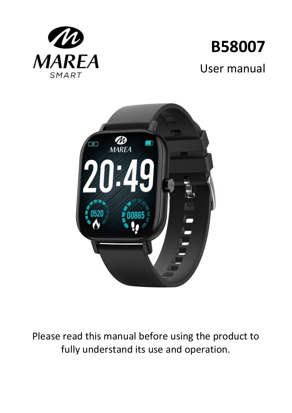

# **B58007** User manual



Please read this manual before using the product to fully understand its use and operation.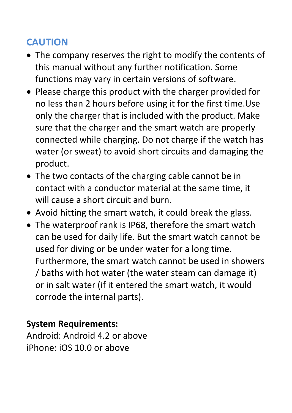# **CAUTION**

- The company reserves the right to modify the contents of this manual without any further notification. Some functions may vary in certain versions of software.
- Please charge this product with the charger provided for no less than 2 hours before using it for the first time.Use only the charger that is included with the product. Make sure that the charger and the smart watch are properly connected while charging. Do not charge if the watch has water (or sweat) to avoid short circuits and damaging the product.
- The two contacts of the charging cable cannot be in contact with a conductor material at the same time, it will cause a short circuit and burn.
- Avoid hitting the smart watch, it could break the glass.
- The waterproof rank is IP68, therefore the smart watch can be used for daily life. But the smart watch cannot be used for diving or be under water for a long time. Furthermore, the smart watch cannot be used in showers / baths with hot water (the water steam can damage it) or in salt water (if it entered the smart watch, it would corrode the internal parts).

#### **System Requirements:**

Android: Android 4.2 or above iPhone: iOS 10.0 or above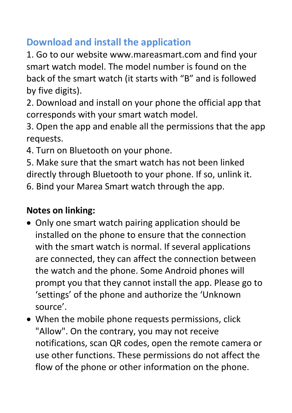# **Download and install the application**

1. Go to our website www.mareasmart.com and find your smart watch model. The model number is found on the back of the smart watch (it starts with "B" and is followed by five digits).

2. Download and install on your phone the official app that corresponds with your smart watch model.

3. Open the app and enable all the permissions that the app requests.

4. Turn on Bluetooth on your phone.

5. Make sure that the smart watch has not been linked directly through Bluetooth to your phone. If so, unlink it.

6. Bind your Marea Smart watch through the app.

## **Notes on linking:**

- Only one smart watch pairing application should be installed on the phone to ensure that the connection with the smart watch is normal. If several applications are connected, they can affect the connection between the watch and the phone. Some Android phones will prompt you that they cannot install the app. Please go to 'settings' of the phone and authorize the 'Unknown source'.
- When the mobile phone requests permissions, click "Allow". On the contrary, you may not receive notifications, scan QR codes, open the remote camera or use other functions. These permissions do not affect the flow of the phone or other information on the phone.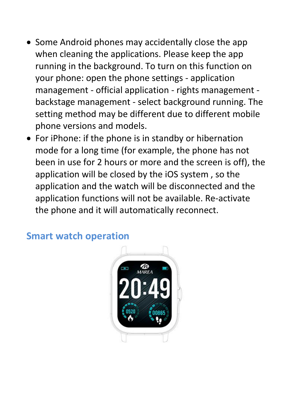- Some Android phones may accidentally close the app when cleaning the applications. Please keep the app running in the background. To turn on this function on your phone: open the phone settings - application management - official application - rights management backstage management - select background running. The setting method may be different due to different mobile phone versions and models.
- For iPhone: if the phone is in standby or hibernation mode for a long time (for example, the phone has not been in use for 2 hours or more and the screen is off), the application will be closed by the iOS system , so the application and the watch will be disconnected and the application functions will not be available. Re-activate the phone and it will automatically reconnect.



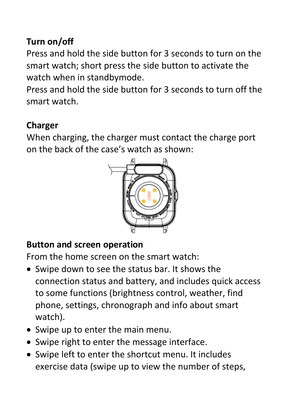# **Turn on/off**

Press and hold the side button for 3 seconds to turn on the smart watch; short press the side button to activate the watch when in standbymode.

Press and hold the side button for 3 seconds to turn off the smart watch.

## **Charger**

When charging, the charger must contact the charge port on the back of the case's watch as shown:



# **Button and screen operation**

From the home screen on the smart watch:

- Swipe down to see the status bar. It shows the connection status and battery, and includes quick access to some functions (brightness control, weather, find phone, settings, chronograph and info about smart watch).
- Swipe up to enter the main menu.
- Swipe right to enter the message interface.
- Swipe left to enter the shortcut menu. It includes exercise data (swipe up to view the number of steps,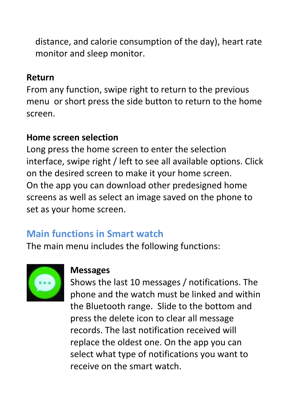distance, and calorie consumption of the day), heart rate monitor and sleep monitor.

#### **Return**

From any function, swipe right to return to the previous menu or short press the side button to return to the home screen.

#### **Home screen selection**

Long press the home screen to enter the selection interface, swipe right / left to see all available options. Click on the desired screen to make it your home screen. On the app you can download other predesigned home screens as well as select an image saved on the phone to set as your home screen.

# **Main functions in Smart watch**

The main menu includes the following functions:



#### **Messages**

Shows the last 10 messages / notifications. The phone and the watch must be linked and within the Bluetooth range. Slide to the bottom and press the delete icon to clear all message records. The last notification received will replace the oldest one. On the app you can select what type of notifications you want to receive on the smart watch.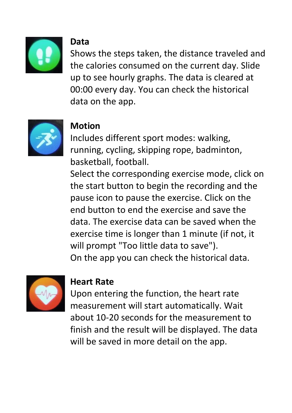

#### **Data**

Shows the steps taken, the distance traveled and the calories consumed on the current day. Slide up to see hourly graphs. The data is cleared at 00:00 every day. You can check the historical data on the app.



# **Motion**

Includes different sport modes: walking, running, cycling, skipping rope, badminton, basketball, football.

Select the corresponding exercise mode, click on the start button to begin the recording and the pause icon to pause the exercise. Click on the end button to end the exercise and save the data. The exercise data can be saved when the exercise time is longer than 1 minute (if not, it will prompt "Too little data to save"). On the app you can check the historical data.



#### **Heart Rate**

Upon entering the function, the heart rate measurement will start automatically. Wait about 10-20 seconds for the measurement to finish and the result will be displayed. The data will be saved in more detail on the app.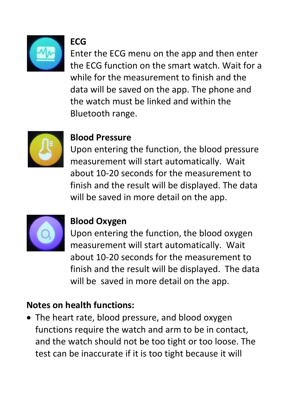

# **ECG**

Enter the ECG menu on the app and then enter the ECG function on the smart watch. Wait for a while for the measurement to finish and the data will be saved on the app. The phone and the watch must be linked and within the Bluetooth range.



#### **Blood Pressure**

Upon entering the function, the blood pressure measurement will start automatically. Wait about 10-20 seconds for the measurement to finish and the result will be displayed. The data will be saved in more detail on the app.



## **Blood Oxygen**

Upon entering the function, the blood oxygen measurement will start automatically. Wait about 10-20 seconds for the measurement to finish and the result will be displayed. The data will be saved in more detail on the app.

## **Notes on health functions:**

• The heart rate, blood pressure, and blood oxygen functions require the watch and arm to be in contact, and the watch should not be too tight or too loose. The test can be inaccurate if it is too tight because it will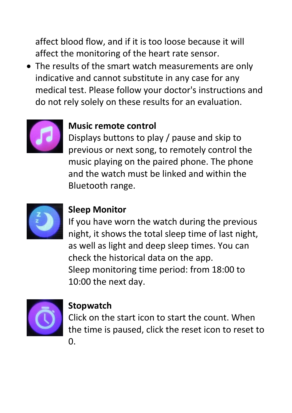affect blood flow, and if it is too loose because it will affect the monitoring of the heart rate sensor.

• The results of the smart watch measurements are only indicative and cannot substitute in any case for any medical test. Please follow your doctor's instructions and do not rely solely on these results for an evaluation.



## **Music remote control**

Displays buttons to play / pause and skip to previous or next song, to remotely control the music playing on the paired phone. The phone and the watch must be linked and within the Bluetooth range.



#### **Sleep Monitor**

If you have worn the watch during the previous night, it shows the total sleep time of last night, as well as light and deep sleep times. You can check the historical data on the app. Sleep monitoring time period: from 18:00 to 10:00 the next day.



## **Stopwatch**

Click on the start icon to start the count. When the time is paused, click the reset icon to reset to  $\overline{0}$ .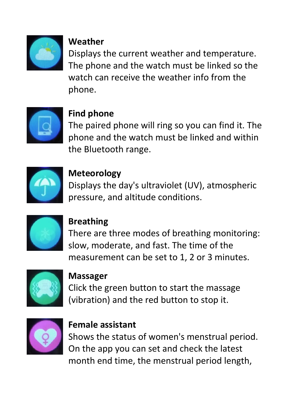

#### **Weather**

Displays the current weather and temperature. The phone and the watch must be linked so the watch can receive the weather info from the phone.



## **Find phone**

The paired phone will ring so you can find it. The phone and the watch must be linked and within the Bluetooth range.



## **Meteorology**

Displays the day's ultraviolet (UV), atmospheric pressure, and altitude conditions.



# **Breathing**

There are three modes of breathing monitoring: slow, moderate, and fast. The time of the measurement can be set to 1, 2 or 3 minutes.



#### **Massager**

Click the green button to start the massage (vibration) and the red button to stop it.



#### **Female assistant**

Shows the status of women's menstrual period. On the app you can set and check the latest month end time, the menstrual period length,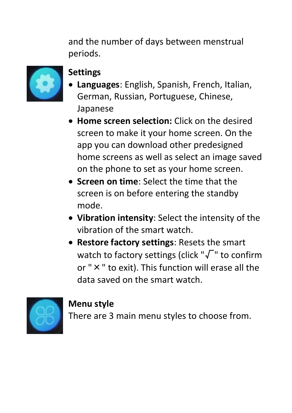and the number of days between menstrual periods.



## **Settings**

- **Languages**: English, Spanish, French, Italian, German, Russian, Portuguese, Chinese, Japanese
- **Home screen selection:** Click on the desired screen to make it your home screen. On the app you can download other predesigned home screens as well as select an image saved on the phone to set as your home screen.
- **Screen on time**: Select the time that the screen is on before entering the standby mode.
- **Vibration intensity**: Select the intensity of the vibration of the smart watch.
- **Restore factory settings**: Resets the smart watch to factory settings (click "√" to confirm or "×" to exit). This function will erase all the data saved on the smart watch.



## **Menu style**

There are 3 main menu styles to choose from.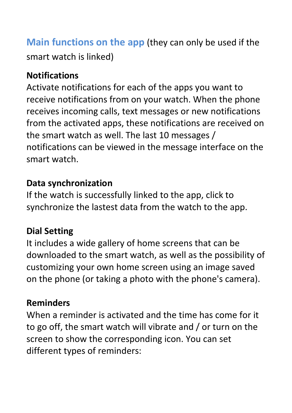**Main functions on the app** (they can only be used if the smart watch is linked)

#### **Notifications**

Activate notifications for each of the apps you want to receive notifications from on your watch. When the phone receives incoming calls, text messages or new notifications from the activated apps, these notifications are received on the smart watch as well. The last 10 messages / notifications can be viewed in the message interface on the smart watch.

#### **Data synchronization**

If the watch is successfully linked to the app, click to synchronize the lastest data from the watch to the app.

# **Dial Setting**

It includes a wide gallery of home screens that can be downloaded to the smart watch, as well as the possibility of customizing your own home screen using an image saved on the phone (or taking a photo with the phone's camera).

#### **Reminders**

When a reminder is activated and the time has come for it to go off, the smart watch will vibrate and / or turn on the screen to show the corresponding icon. You can set different types of reminders: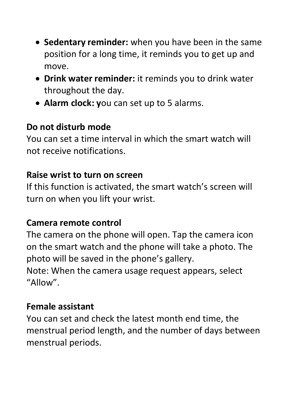- **Sedentary reminder:** when you have been in the same position for a long time, it reminds you to get up and move.
- **Drink water reminder:** it reminds you to drink water throughout the day.
- **Alarm clock: y**ou can set up to 5 alarms.

#### **Do not disturb mode**

You can set a time interval in which the smart watch will not receive notifications.

#### **Raise wrist to turn on screen**

If this function is activated, the smart watch's screen will turn on when you lift your wrist.

## **Camera remote control**

The camera on the phone will open. Tap the camera icon on the smart watch and the phone will take a photo. The photo will be saved in the phone's gallery.

Note: When the camera usage request appears, select "Allow".

## **Female assistant**

You can set and check the latest month end time, the menstrual period length, and the number of days between menstrual periods.